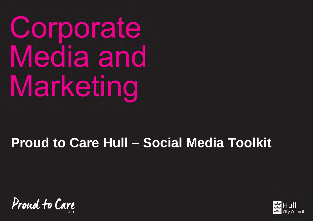Corporate Media and Marketing

# **Proud to Care Hull – Social Media Toolkit**

Proud to Care

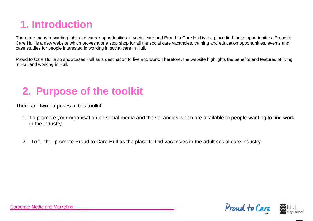## **1. Introduction**

There are many rewarding jobs and career opportunities in social care and Proud to Care Hull is the place find these opportunities. Proud to Care Hull is a new website which proves a one stop shop for all the social care vacancies, training and education opportunities, events and case studies for people interested in working in social care in Hull.

Proud to Care Hull also showcases Hull as a destination to live and work. Therefore, the website highlights the benefits and features of living in Hull and working in Hull.

## **2. Purpose of the toolkit**

There are two purposes of this toolkit:

- 1. To promote your organisation on social media and the vacancies which are available to people wanting to find work in the industry.
- 2. To further promote Proud to Care Hull as the place to find vacancies in the adult social care industry.



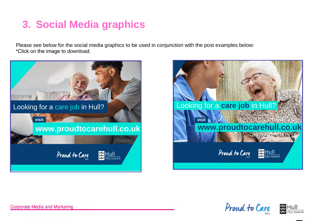#### **3. Social Media graphics**

Please see below for the social media graphics to be used in conjunction with the post examples below: \*Click on the image to download.









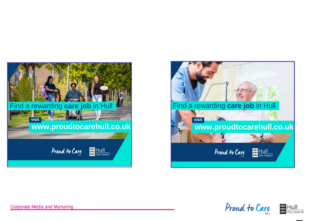







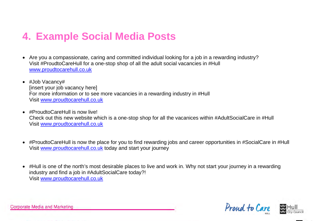#### **4. Example Social Media Posts**

- Are you a compassionate, caring and committed individual looking for a job in a rewarding industry? Visit #ProudtoCareHull for a one-stop shop of all the adult social vacancies in #Hull [www.proudtocarehull.co.uk](http://www.proudtocarehull.co.uk/)
- #Job Vacancy# [insert your job vacancy here] For more information or to see more vacancies in a rewarding industry in #Hull Visit [www.proudtocarehull.co.uk](http://www.proudtocarehull.co.uk/)
- #ProudtoCareHull is now live! Check out this new website which is a one-stop shop for all the vacanices within #AdultSocialCare in #Hull Visit [www.proudtocarehull.co.uk](http://www.proudtocarehull.co.uk/)
- #ProudtoCareHull is now the place for you to find rewarding jobs and career opportunities in #SocialCare in #Hull Visit [www.proudtocarehull.co.uk](http://www.proudtocarehull.co.uk/) today and start your journey
- #Hull is one of the north's most desirable places to live and work in. Why not start your journey in a rewarding industry and find a job in #AdultSocialCare today?! Visit [www.proudtocarehull.co.uk](http://www.proudtocarehull.co.uk/)